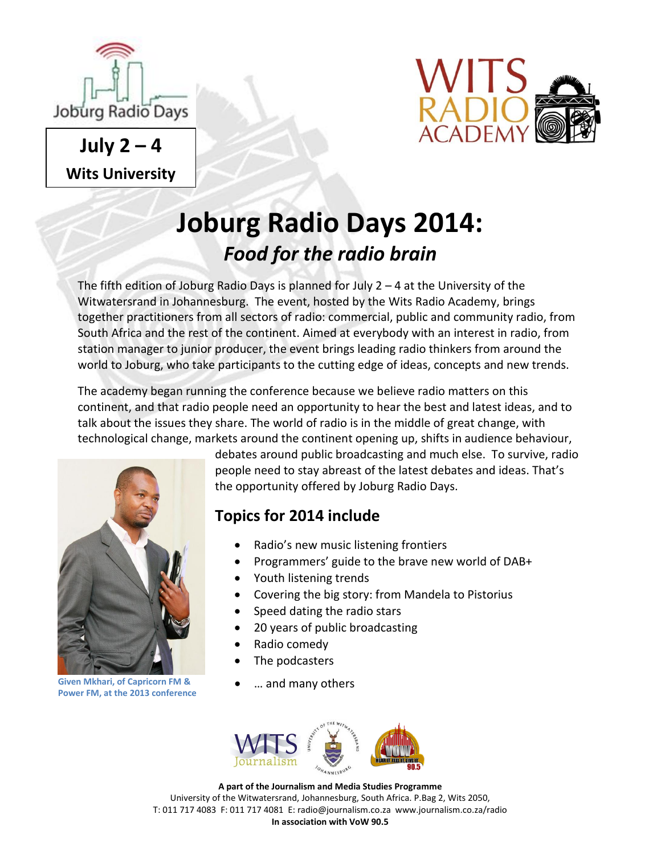

 $July 2 - 4$ **Wits University**



# **Joburg Radio Days 2014:** *Food for the radio brain*

The fifth edition of Joburg Radio Days is planned for July  $2 - 4$  at the University of the Witwatersrand in Johannesburg. The event, hosted by the Wits Radio Academy, brings together practitioners from all sectors of radio: commercial, public and community radio, from South Africa and the rest of the continent. Aimed at everybody with an interest in radio, from station manager to junior producer, the event brings leading radio thinkers from around the world to Joburg, who take participants to the cutting edge of ideas, concepts and new trends.

The academy began running the conference because we believe radio matters on this continent, and that radio people need an opportunity to hear the best and latest ideas, and to talk about the issues they share. The world of radio is in the middle of great change, with technological change, markets around the continent opening up, shifts in audience behaviour,



**Given Mkhari, of Capricorn FM &**  … and many others **Power FM, at the 2013 conference**

debates around public broadcasting and much else. To survive, radio people need to stay abreast of the latest debates and ideas. That's the opportunity offered by Joburg Radio Days.

### **Topics for 2014 include**

- Radio's new music listening frontiers
- Programmers' guide to the brave new world of DAB+
- Youth listening trends
- Covering the big story: from Mandela to Pistorius
- Speed dating the radio stars
- 20 years of public broadcasting
- Radio comedy
- The podcasters
- 



**A part of the Journalism and Media Studies Programme** University of the Witwatersrand, Johannesburg, South Africa. P.Bag 2, Wits 2050, T: 011 717 4083 F: 011 717 4081 E: radio@journalism.co.za www.journalism.co.za/radio **In association with VoW 90.5**